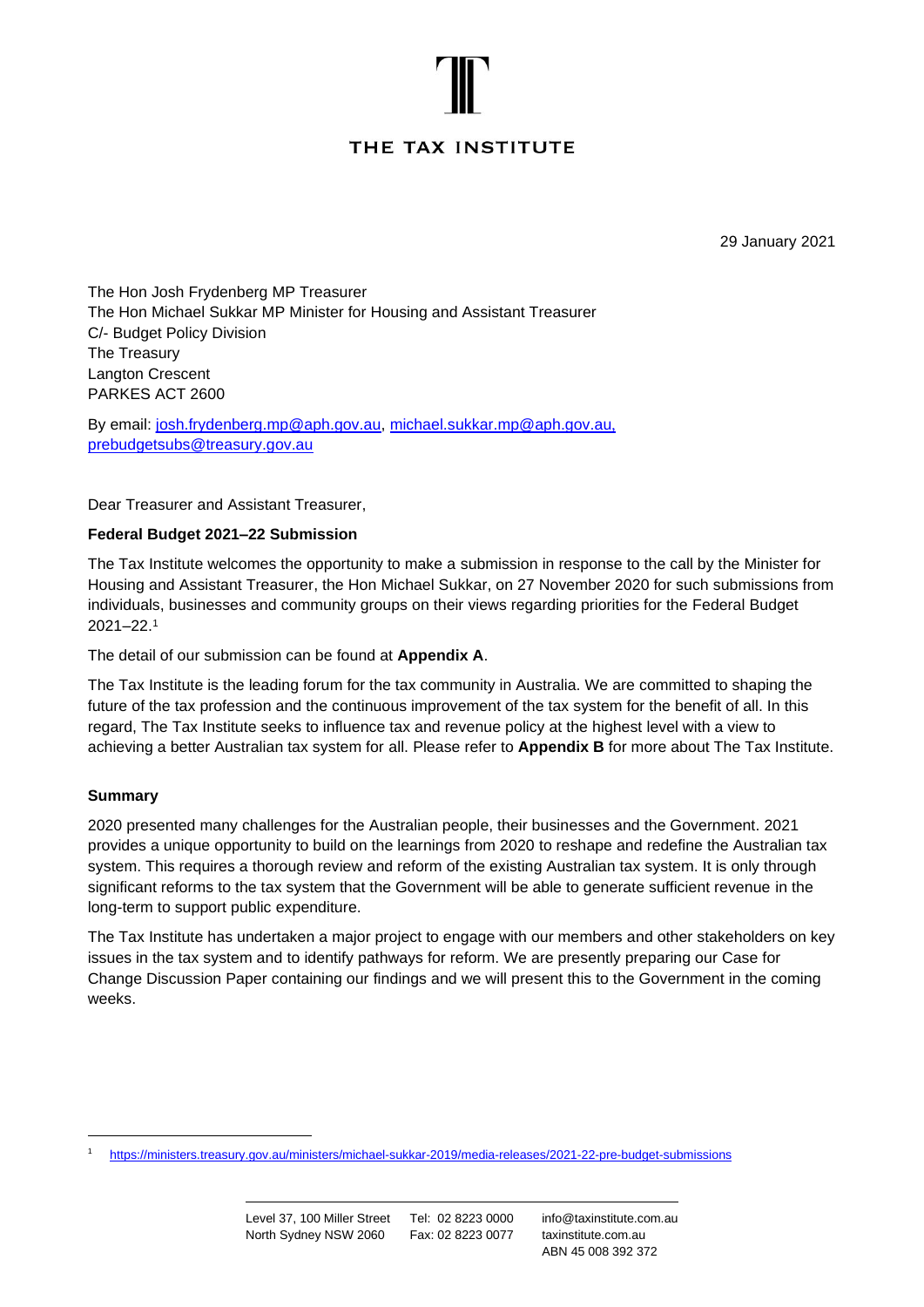# THE TAX INSTITUTE

29 January 2021

The Hon Josh Frydenberg MP Treasurer The Hon Michael Sukkar MP Minister for Housing and Assistant Treasurer C/- Budget Policy Division The Treasury Langton Crescent PARKES ACT 2600

By email: [josh.frydenberg.mp@aph.gov.au,](mailto:josh.frydenberg.mp@aph.gov.au) [michael.sukkar.mp@aph.gov.au](mailto:michael.sukkar.mp@aph.gov.au), [prebudgetsubs@treasury.gov.au](mailto:prebudgetsubs@treasury.gov.au)

Dear Treasurer and Assistant Treasurer,

# **Federal Budget 2021–22 Submission**

The Tax Institute welcomes the opportunity to make a submission in response to the call by the Minister for Housing and Assistant Treasurer, the Hon Michael Sukkar, on 27 November 2020 for such submissions from individuals, businesses and community groups on their views regarding priorities for the Federal Budget 2021–22. 1

The detail of our submission can be found at **Appendix A**.

The Tax Institute is the leading forum for the tax community in Australia. We are committed to shaping the future of the tax profession and the continuous improvement of the tax system for the benefit of all. In this regard, The Tax Institute seeks to influence tax and revenue policy at the highest level with a view to achieving a better Australian tax system for all. Please refer to **Appendix B** for more about The Tax Institute.

#### **Summary**

2020 presented many challenges for the Australian people, their businesses and the Government. 2021 provides a unique opportunity to build on the learnings from 2020 to reshape and redefine the Australian tax system. This requires a thorough review and reform of the existing Australian tax system. It is only through significant reforms to the tax system that the Government will be able to generate sufficient revenue in the long-term to support public expenditure.

The Tax Institute has undertaken a major project to engage with our members and other stakeholders on key issues in the tax system and to identify pathways for reform. We are presently preparing our Case for Change Discussion Paper containing our findings and we will present this to the Government in the coming weeks.

<sup>1</sup> <https://ministers.treasury.gov.au/ministers/michael-sukkar-2019/media-releases/2021-22-pre-budget-submissions>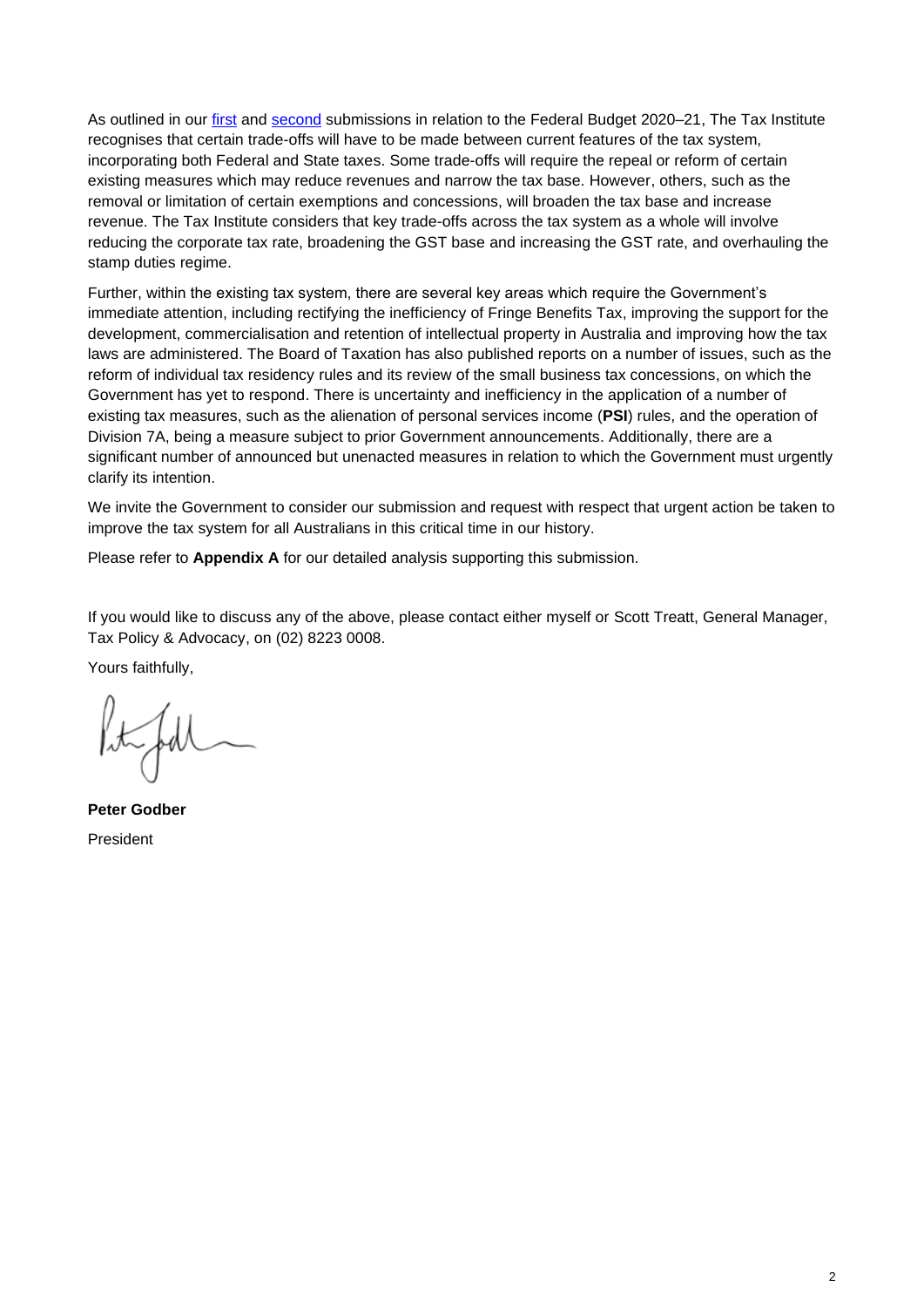As outlined in our [first](https://www.taxinstitute.com.au/tisubmission/the-tax-institute-submission-2020-21-federal-budget-submission) and [second](https://www.taxinstitute.com.au/tisubmission/2020-21-pre-budget-submission) submissions in relation to the Federal Budget 2020-21, The Tax Institute recognises that certain trade-offs will have to be made between current features of the tax system, incorporating both Federal and State taxes. Some trade-offs will require the repeal or reform of certain existing measures which may reduce revenues and narrow the tax base. However, others, such as the removal or limitation of certain exemptions and concessions, will broaden the tax base and increase revenue. The Tax Institute considers that key trade-offs across the tax system as a whole will involve reducing the corporate tax rate, broadening the GST base and increasing the GST rate, and overhauling the stamp duties regime.

Further, within the existing tax system, there are several key areas which require the Government's immediate attention, including rectifying the inefficiency of Fringe Benefits Tax, improving the support for the development, commercialisation and retention of intellectual property in Australia and improving how the tax laws are administered. The Board of Taxation has also published reports on a number of issues, such as the reform of individual tax residency rules and its review of the small business tax concessions, on which the Government has yet to respond. There is uncertainty and inefficiency in the application of a number of existing tax measures, such as the alienation of personal services income (**PSI**) rules, and the operation of Division 7A, being a measure subject to prior Government announcements. Additionally, there are a significant number of announced but unenacted measures in relation to which the Government must urgently clarify its intention.

We invite the Government to consider our submission and request with respect that urgent action be taken to improve the tax system for all Australians in this critical time in our history.

Please refer to **Appendix A** for our detailed analysis supporting this submission.

If you would like to discuss any of the above, please contact either myself or Scott Treatt, General Manager, Tax Policy & Advocacy, on (02) 8223 0008.

Yours faithfully,

**Peter Godber** President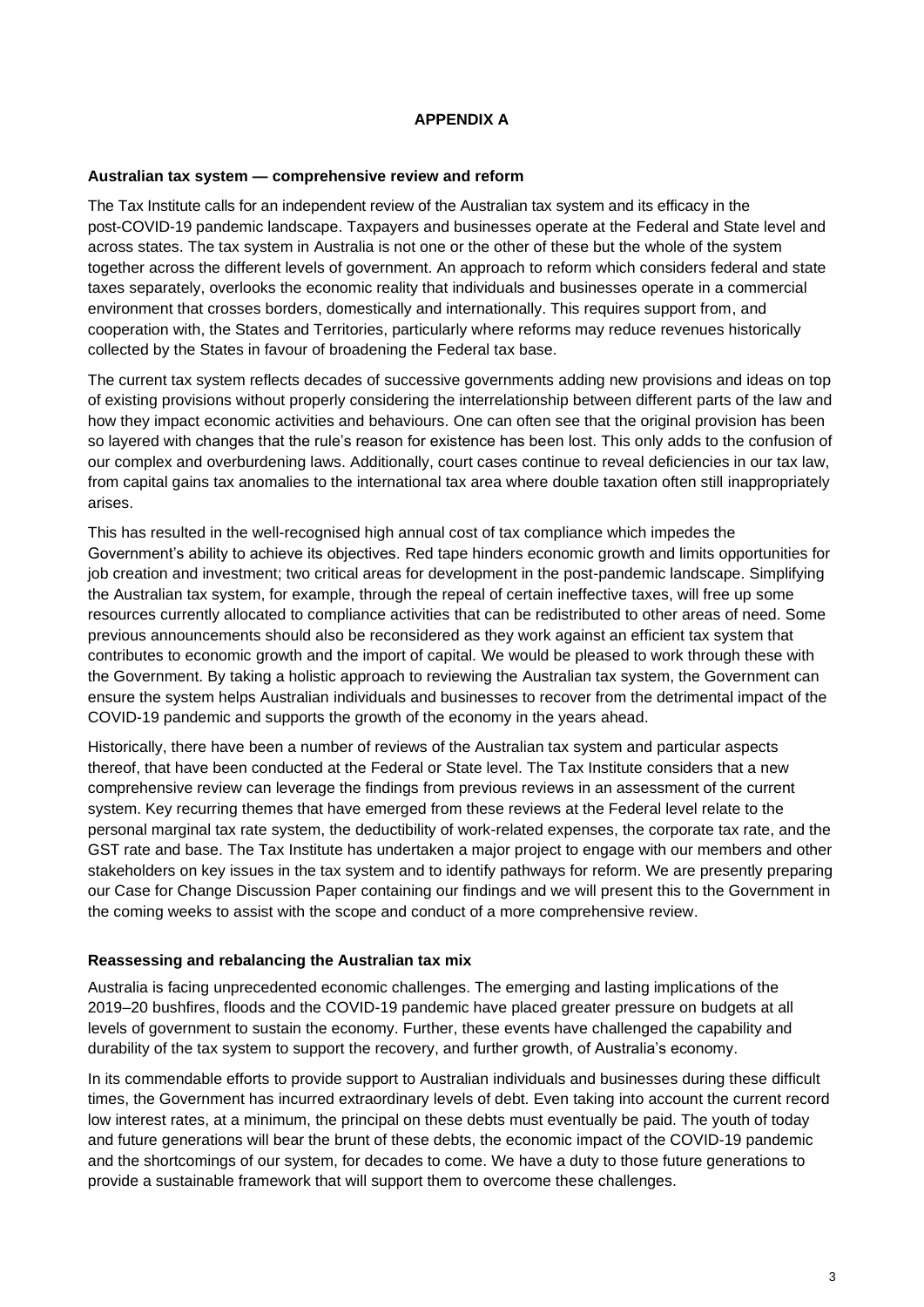#### **APPENDIX A**

#### **Australian tax system — comprehensive review and reform**

The Tax Institute calls for an independent review of the Australian tax system and its efficacy in the post-COVID-19 pandemic landscape. Taxpayers and businesses operate at the Federal and State level and across states. The tax system in Australia is not one or the other of these but the whole of the system together across the different levels of government. An approach to reform which considers federal and state taxes separately, overlooks the economic reality that individuals and businesses operate in a commercial environment that crosses borders, domestically and internationally. This requires support from, and cooperation with, the States and Territories, particularly where reforms may reduce revenues historically collected by the States in favour of broadening the Federal tax base.

The current tax system reflects decades of successive governments adding new provisions and ideas on top of existing provisions without properly considering the interrelationship between different parts of the law and how they impact economic activities and behaviours. One can often see that the original provision has been so layered with changes that the rule's reason for existence has been lost. This only adds to the confusion of our complex and overburdening laws. Additionally, court cases continue to reveal deficiencies in our tax law, from capital gains tax anomalies to the international tax area where double taxation often still inappropriately arises.

This has resulted in the well-recognised high annual cost of tax compliance which impedes the Government's ability to achieve its objectives. Red tape hinders economic growth and limits opportunities for job creation and investment; two critical areas for development in the post-pandemic landscape. Simplifying the Australian tax system, for example, through the repeal of certain ineffective taxes, will free up some resources currently allocated to compliance activities that can be redistributed to other areas of need. Some previous announcements should also be reconsidered as they work against an efficient tax system that contributes to economic growth and the import of capital. We would be pleased to work through these with the Government. By taking a holistic approach to reviewing the Australian tax system, the Government can ensure the system helps Australian individuals and businesses to recover from the detrimental impact of the COVID-19 pandemic and supports the growth of the economy in the years ahead.

Historically, there have been a number of reviews of the Australian tax system and particular aspects thereof, that have been conducted at the Federal or State level. The Tax Institute considers that a new comprehensive review can leverage the findings from previous reviews in an assessment of the current system. Key recurring themes that have emerged from these reviews at the Federal level relate to the personal marginal tax rate system, the deductibility of work-related expenses, the corporate tax rate, and the GST rate and base. The Tax Institute has undertaken a major project to engage with our members and other stakeholders on key issues in the tax system and to identify pathways for reform. We are presently preparing our Case for Change Discussion Paper containing our findings and we will present this to the Government in the coming weeks to assist with the scope and conduct of a more comprehensive review.

#### **Reassessing and rebalancing the Australian tax mix**

Australia is facing unprecedented economic challenges. The emerging and lasting implications of the 2019–20 bushfires, floods and the COVID-19 pandemic have placed greater pressure on budgets at all levels of government to sustain the economy. Further, these events have challenged the capability and durability of the tax system to support the recovery, and further growth, of Australia's economy.

In its commendable efforts to provide support to Australian individuals and businesses during these difficult times, the Government has incurred extraordinary levels of debt. Even taking into account the current record low interest rates, at a minimum, the principal on these debts must eventually be paid. The youth of today and future generations will bear the brunt of these debts, the economic impact of the COVID-19 pandemic and the shortcomings of our system, for decades to come. We have a duty to those future generations to provide a sustainable framework that will support them to overcome these challenges.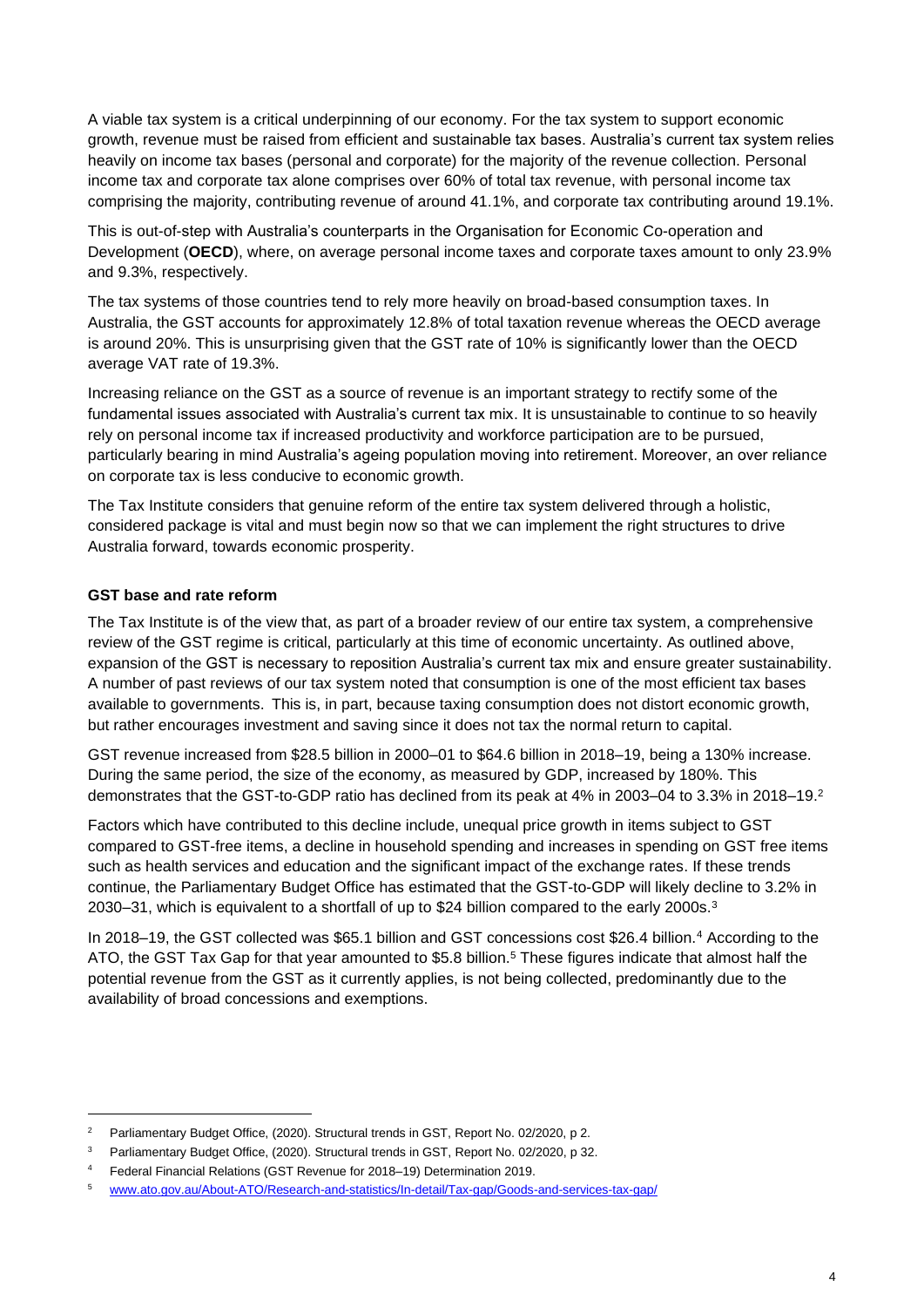A viable tax system is a critical underpinning of our economy. For the tax system to support economic growth, revenue must be raised from efficient and sustainable tax bases. Australia's current tax system relies heavily on income tax bases (personal and corporate) for the majority of the revenue collection. Personal income tax and corporate tax alone comprises over 60% of total tax revenue, with personal income tax comprising the majority, contributing revenue of around 41.1%, and corporate tax contributing around 19.1%.

This is out-of-step with Australia's counterparts in the Organisation for Economic Co-operation and Development (**OECD**), where, on average personal income taxes and corporate taxes amount to only 23.9% and 9.3%, respectively.

The tax systems of those countries tend to rely more heavily on broad-based consumption taxes. In Australia, the GST accounts for approximately 12.8% of total taxation revenue whereas the OECD average is around 20%. This is unsurprising given that the GST rate of 10% is significantly lower than the OECD average VAT rate of 19.3%.

Increasing reliance on the GST as a source of revenue is an important strategy to rectify some of the fundamental issues associated with Australia's current tax mix. It is unsustainable to continue to so heavily rely on personal income tax if increased productivity and workforce participation are to be pursued, particularly bearing in mind Australia's ageing population moving into retirement. Moreover, an over reliance on corporate tax is less conducive to economic growth.

The Tax Institute considers that genuine reform of the entire tax system delivered through a holistic, considered package is vital and must begin now so that we can implement the right structures to drive Australia forward, towards economic prosperity.

# **GST base and rate reform**

The Tax Institute is of the view that, as part of a broader review of our entire tax system, a comprehensive review of the GST regime is critical, particularly at this time of economic uncertainty. As outlined above, expansion of the GST is necessary to reposition Australia's current tax mix and ensure greater sustainability. A number of past reviews of our tax system noted that consumption is one of the most efficient tax bases available to governments. This is, in part, because taxing consumption does not distort economic growth, but rather encourages investment and saving since it does not tax the normal return to capital.

GST revenue increased from \$28.5 billion in 2000–01 to \$64.6 billion in 2018–19, being a 130% increase. During the same period, the size of the economy, as measured by GDP, increased by 180%. This demonstrates that the GST-to-GDP ratio has declined from its peak at 4% in 2003–04 to 3.3% in 2018–19.<sup>2</sup>

Factors which have contributed to this decline include, unequal price growth in items subject to GST compared to GST-free items, a decline in household spending and increases in spending on GST free items such as health services and education and the significant impact of the exchange rates. If these trends continue, the Parliamentary Budget Office has estimated that the GST-to-GDP will likely decline to 3.2% in 2030–31, which is equivalent to a shortfall of up to \$24 billion compared to the early 2000s.<sup>3</sup>

In 2018–19, the GST collected was \$65.1 billion and GST concessions cost \$26.4 billion.<sup>4</sup> According to the ATO, the GST Tax Gap for that year amounted to \$5.8 billion.<sup>5</sup> These figures indicate that almost half the potential revenue from the GST as it currently applies, is not being collected, predominantly due to the availability of broad concessions and exemptions.

<sup>&</sup>lt;sup>2</sup> Parliamentary Budget Office, (2020). Structural trends in GST, Report No. 02/2020, p 2.

<sup>&</sup>lt;sup>3</sup> Parliamentary Budget Office, (2020). Structural trends in GST, Report No. 02/2020, p 32.

<sup>4</sup> Federal Financial Relations (GST Revenue for 2018–19) Determination 2019.

<sup>5</sup> [www.ato.gov.au/About-ATO/Research-and-statistics/In-detail/Tax-gap/Goods-and-services-tax-gap/](https://www.ato.gov.au/About-ATO/Research-and-statistics/In-detail/Tax-gap/Goods-and-services-tax-gap/)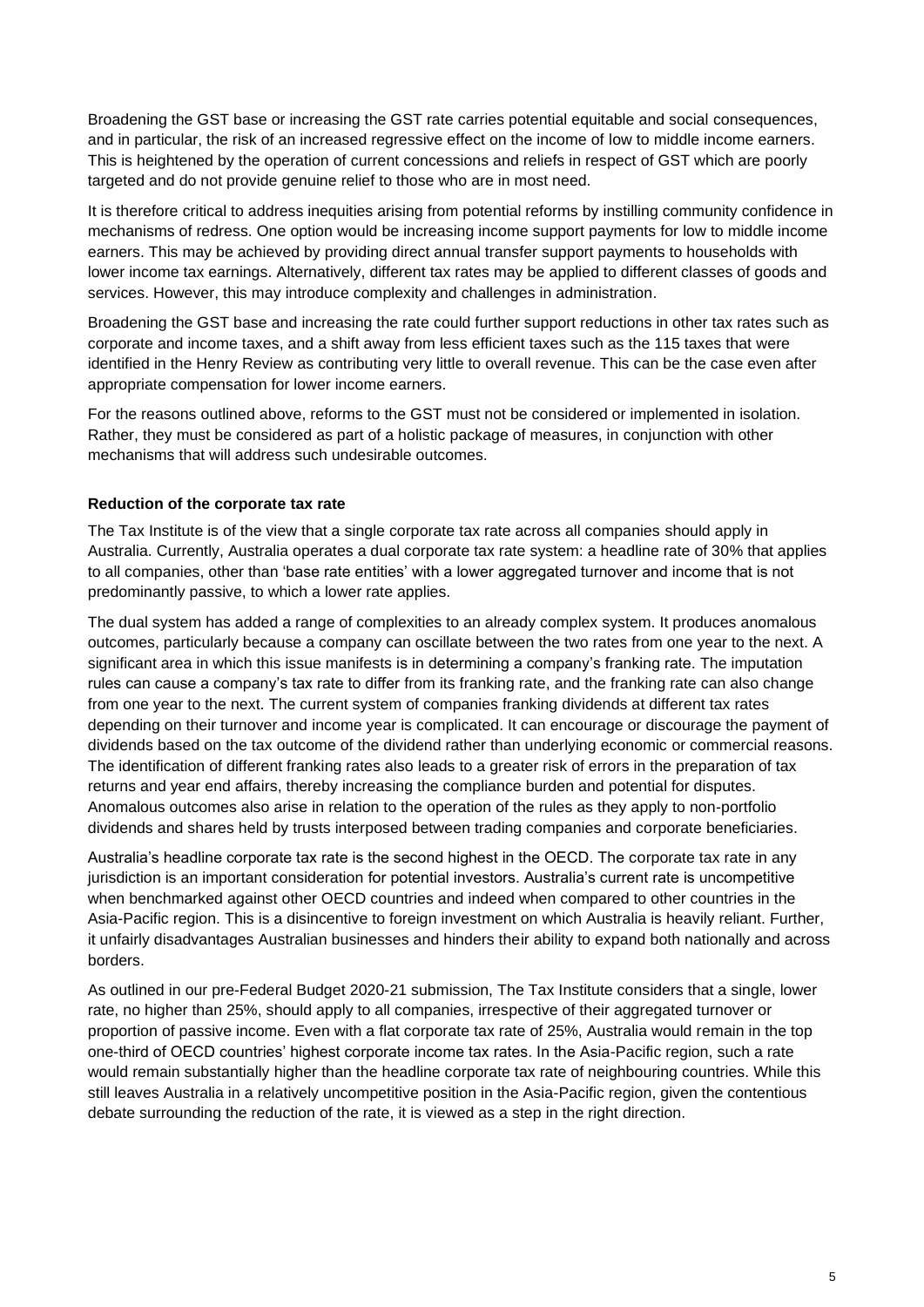Broadening the GST base or increasing the GST rate carries potential equitable and social consequences, and in particular, the risk of an increased regressive effect on the income of low to middle income earners. This is heightened by the operation of current concessions and reliefs in respect of GST which are poorly targeted and do not provide genuine relief to those who are in most need.

It is therefore critical to address inequities arising from potential reforms by instilling community confidence in mechanisms of redress. One option would be increasing income support payments for low to middle income earners. This may be achieved by providing direct annual transfer support payments to households with lower income tax earnings. Alternatively, different tax rates may be applied to different classes of goods and services. However, this may introduce complexity and challenges in administration.

Broadening the GST base and increasing the rate could further support reductions in other tax rates such as corporate and income taxes, and a shift away from less efficient taxes such as the 115 taxes that were identified in the Henry Review as contributing very little to overall revenue. This can be the case even after appropriate compensation for lower income earners.

For the reasons outlined above, reforms to the GST must not be considered or implemented in isolation. Rather, they must be considered as part of a holistic package of measures, in conjunction with other mechanisms that will address such undesirable outcomes.

# **Reduction of the corporate tax rate**

The Tax Institute is of the view that a single corporate tax rate across all companies should apply in Australia. Currently, Australia operates a dual corporate tax rate system: a headline rate of 30% that applies to all companies, other than 'base rate entities' with a lower aggregated turnover and income that is not predominantly passive, to which a lower rate applies.

The dual system has added a range of complexities to an already complex system. It produces anomalous outcomes, particularly because a company can oscillate between the two rates from one year to the next. A significant area in which this issue manifests is in determining a company's franking rate. The imputation rules can cause a company's tax rate to differ from its franking rate, and the franking rate can also change from one year to the next. The current system of companies franking dividends at different tax rates depending on their turnover and income year is complicated. It can encourage or discourage the payment of dividends based on the tax outcome of the dividend rather than underlying economic or commercial reasons. The identification of different franking rates also leads to a greater risk of errors in the preparation of tax returns and year end affairs, thereby increasing the compliance burden and potential for disputes. Anomalous outcomes also arise in relation to the operation of the rules as they apply to non-portfolio dividends and shares held by trusts interposed between trading companies and corporate beneficiaries.

Australia's headline corporate tax rate is the second highest in the OECD. The corporate tax rate in any jurisdiction is an important consideration for potential investors. Australia's current rate is uncompetitive when benchmarked against other OECD countries and indeed when compared to other countries in the Asia-Pacific region. This is a disincentive to foreign investment on which Australia is heavily reliant. Further, it unfairly disadvantages Australian businesses and hinders their ability to expand both nationally and across borders.

As outlined in our pre-Federal Budget 2020-21 submission, The Tax Institute considers that a single, lower rate, no higher than 25%, should apply to all companies, irrespective of their aggregated turnover or proportion of passive income. Even with a flat corporate tax rate of 25%, Australia would remain in the top one-third of OECD countries' highest corporate income tax rates. In the Asia-Pacific region, such a rate would remain substantially higher than the headline corporate tax rate of neighbouring countries. While this still leaves Australia in a relatively uncompetitive position in the Asia-Pacific region, given the contentious debate surrounding the reduction of the rate, it is viewed as a step in the right direction.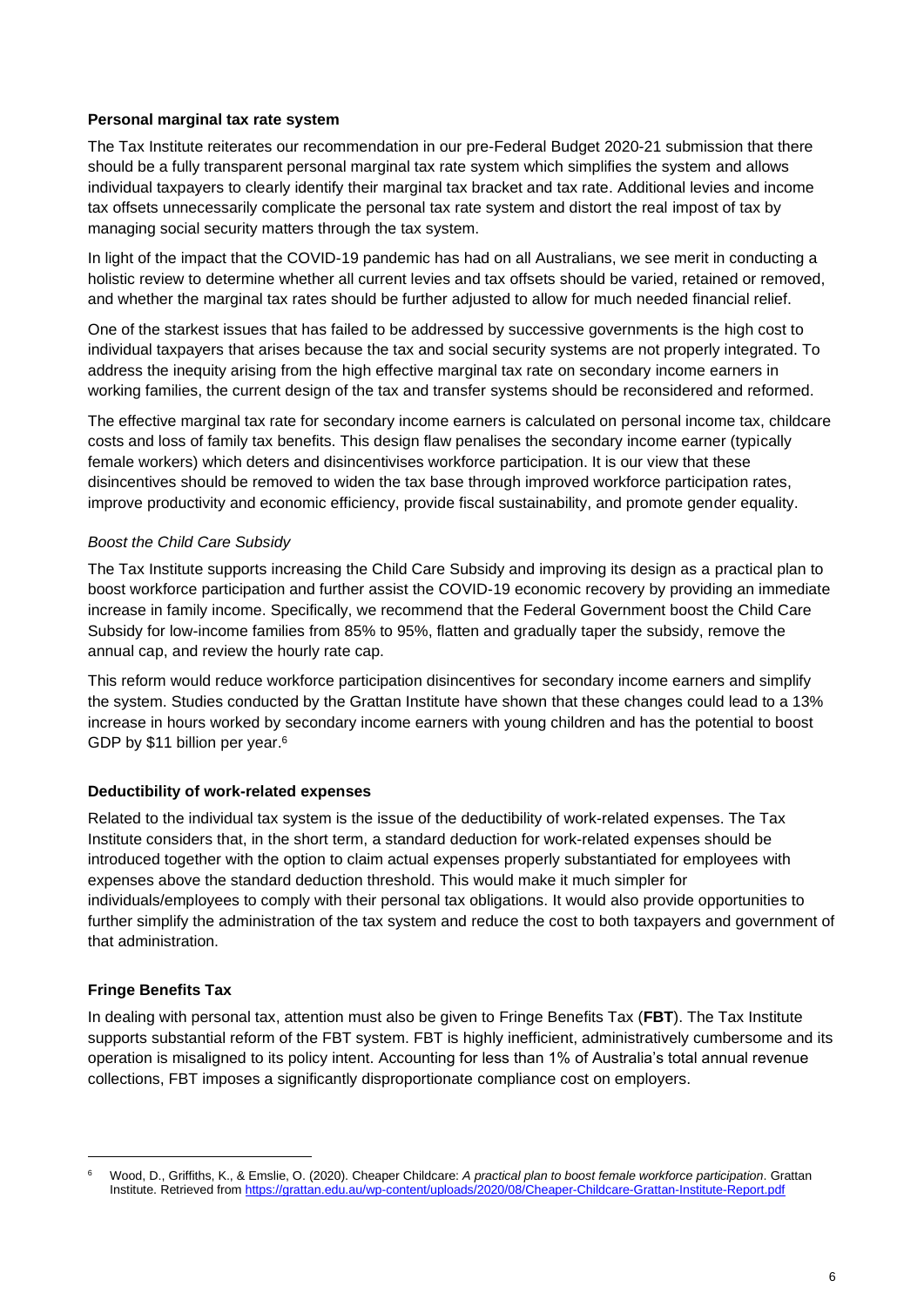#### **Personal marginal tax rate system**

The Tax Institute reiterates our recommendation in our pre-Federal Budget 2020-21 submission that there should be a fully transparent personal marginal tax rate system which simplifies the system and allows individual taxpayers to clearly identify their marginal tax bracket and tax rate. Additional levies and income tax offsets unnecessarily complicate the personal tax rate system and distort the real impost of tax by managing social security matters through the tax system.

In light of the impact that the COVID-19 pandemic has had on all Australians, we see merit in conducting a holistic review to determine whether all current levies and tax offsets should be varied, retained or removed, and whether the marginal tax rates should be further adjusted to allow for much needed financial relief.

One of the starkest issues that has failed to be addressed by successive governments is the high cost to individual taxpayers that arises because the tax and social security systems are not properly integrated. To address the inequity arising from the high effective marginal tax rate on secondary income earners in working families, the current design of the tax and transfer systems should be reconsidered and reformed.

The effective marginal tax rate for secondary income earners is calculated on personal income tax, childcare costs and loss of family tax benefits. This design flaw penalises the secondary income earner (typically female workers) which deters and disincentivises workforce participation. It is our view that these disincentives should be removed to widen the tax base through improved workforce participation rates, improve productivity and economic efficiency, provide fiscal sustainability, and promote gender equality.

# *Boost the Child Care Subsidy*

The Tax Institute supports increasing the Child Care Subsidy and improving its design as a practical plan to boost workforce participation and further assist the COVID-19 economic recovery by providing an immediate increase in family income. Specifically, we recommend that the Federal Government boost the Child Care Subsidy for low-income families from 85% to 95%, flatten and gradually taper the subsidy, remove the annual cap, and review the hourly rate cap.

This reform would reduce workforce participation disincentives for secondary income earners and simplify the system. Studies conducted by the Grattan Institute have shown that these changes could lead to a 13% increase in hours worked by secondary income earners with young children and has the potential to boost GDP by \$11 billion per year. 6

#### **Deductibility of work-related expenses**

Related to the individual tax system is the issue of the deductibility of work-related expenses. The Tax Institute considers that, in the short term, a standard deduction for work-related expenses should be introduced together with the option to claim actual expenses properly substantiated for employees with expenses above the standard deduction threshold. This would make it much simpler for individuals/employees to comply with their personal tax obligations. It would also provide opportunities to further simplify the administration of the tax system and reduce the cost to both taxpayers and government of that administration.

# **Fringe Benefits Tax**

In dealing with personal tax, attention must also be given to Fringe Benefits Tax (**FBT**). The Tax Institute supports substantial reform of the FBT system. FBT is highly inefficient, administratively cumbersome and its operation is misaligned to its policy intent. Accounting for less than 1% of Australia's total annual revenue collections, FBT imposes a significantly disproportionate compliance cost on employers.

<sup>6</sup> Wood, D., Griffiths, K., & Emslie, O. (2020). Cheaper Childcare: *A practical plan to boost female workforce participation*. Grattan Institute. Retrieved from<https://grattan.edu.au/wp-content/uploads/2020/08/Cheaper-Childcare-Grattan-Institute-Report.pdf>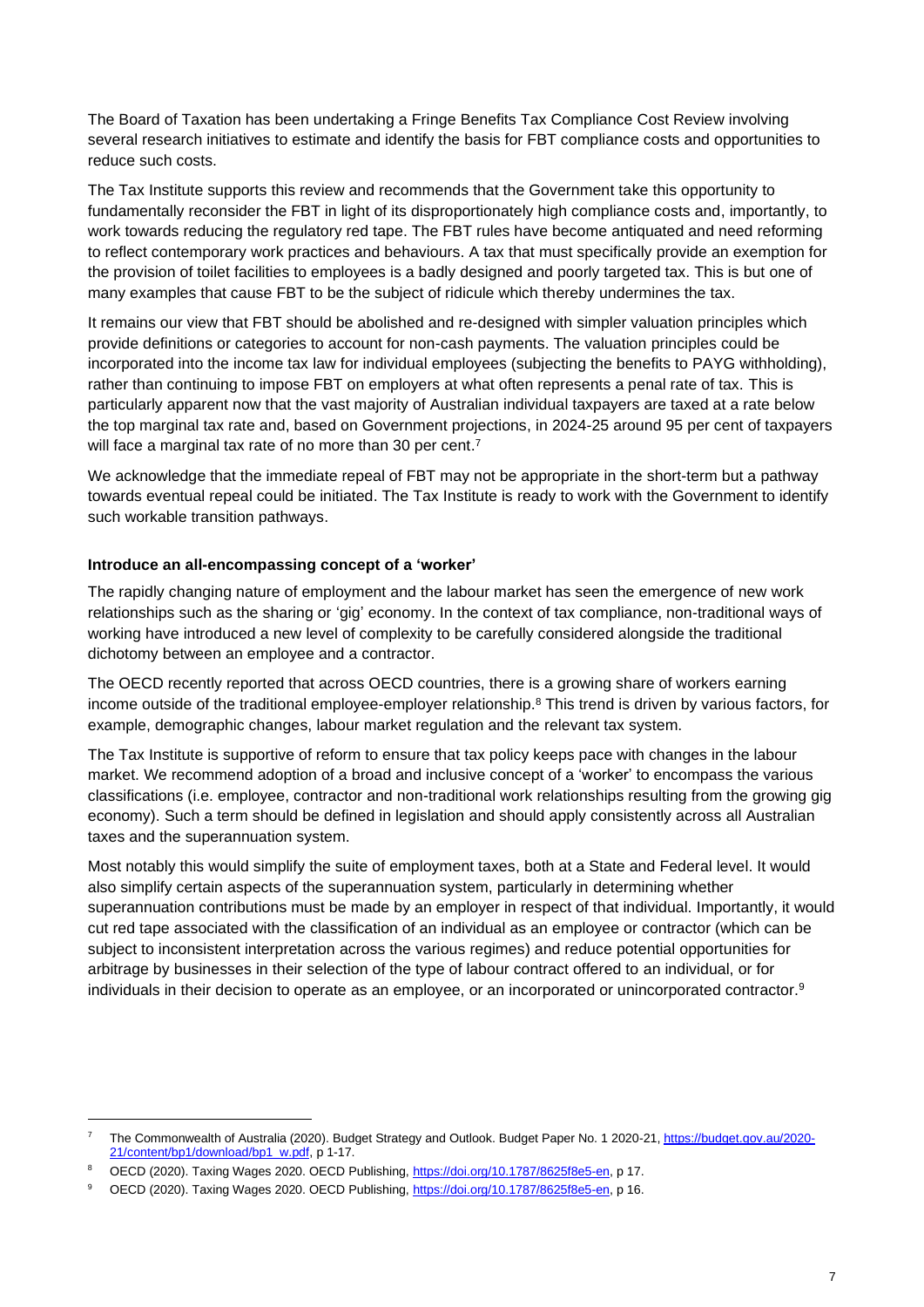The Board of Taxation has been undertaking a Fringe Benefits Tax Compliance Cost Review involving several research initiatives to estimate and identify the basis for FBT compliance costs and opportunities to reduce such costs.

The Tax Institute supports this review and recommends that the Government take this opportunity to fundamentally reconsider the FBT in light of its disproportionately high compliance costs and, importantly, to work towards reducing the regulatory red tape. The FBT rules have become antiquated and need reforming to reflect contemporary work practices and behaviours. A tax that must specifically provide an exemption for the provision of toilet facilities to employees is a badly designed and poorly targeted tax. This is but one of many examples that cause FBT to be the subject of ridicule which thereby undermines the tax.

It remains our view that FBT should be abolished and re-designed with simpler valuation principles which provide definitions or categories to account for non-cash payments. The valuation principles could be incorporated into the income tax law for individual employees (subjecting the benefits to PAYG withholding), rather than continuing to impose FBT on employers at what often represents a penal rate of tax. This is particularly apparent now that the vast majority of Australian individual taxpayers are taxed at a rate below the top marginal tax rate and, based on Government projections, in 2024-25 around 95 per cent of taxpayers will face a marginal tax rate of no more than 30 per cent.<sup>7</sup>

We acknowledge that the immediate repeal of FBT may not be appropriate in the short-term but a pathway towards eventual repeal could be initiated. The Tax Institute is ready to work with the Government to identify such workable transition pathways.

# **Introduce an all-encompassing concept of a 'worker'**

The rapidly changing nature of employment and the labour market has seen the emergence of new work relationships such as the sharing or 'gig' economy. In the context of tax compliance, non-traditional ways of working have introduced a new level of complexity to be carefully considered alongside the traditional dichotomy between an employee and a contractor.

The OECD recently reported that across OECD countries, there is a growing share of workers earning income outside of the traditional employee-employer relationship. <sup>8</sup> This trend is driven by various factors, for example, demographic changes, labour market regulation and the relevant tax system.

The Tax Institute is supportive of reform to ensure that tax policy keeps pace with changes in the labour market. We recommend adoption of a broad and inclusive concept of a 'worker' to encompass the various classifications (i.e. employee, contractor and non-traditional work relationships resulting from the growing gig economy). Such a term should be defined in legislation and should apply consistently across all Australian taxes and the superannuation system.

Most notably this would simplify the suite of employment taxes, both at a State and Federal level. It would also simplify certain aspects of the superannuation system, particularly in determining whether superannuation contributions must be made by an employer in respect of that individual. Importantly, it would cut red tape associated with the classification of an individual as an employee or contractor (which can be subject to inconsistent interpretation across the various regimes) and reduce potential opportunities for arbitrage by businesses in their selection of the type of labour contract offered to an individual, or for individuals in their decision to operate as an employee, or an incorporated or unincorporated contractor.<sup>9</sup>

<sup>&</sup>lt;sup>7</sup> The Commonwealth of Australia (2020). Budget Strategy and Outlook. Budget Paper No. 1 2020-21, [https://budget.gov.au/2020-](https://budget.gov.au/2020-21/content/bp1/download/bp1_w.pdf) [21/content/bp1/download/bp1\\_w.pdf,](https://budget.gov.au/2020-21/content/bp1/download/bp1_w.pdf) p 1-17.

<sup>8</sup> OECD (2020). Taxing Wages 2020. OECD Publishing, [https://doi.org/10.1787/8625f8e5-en,](https://doi.org/10.1787/8625f8e5-en) p 17.

<sup>9</sup> OECD (2020). Taxing Wages 2020. OECD Publishing, [https://doi.org/10.1787/8625f8e5-en,](https://doi.org/10.1787/8625f8e5-en) p 16.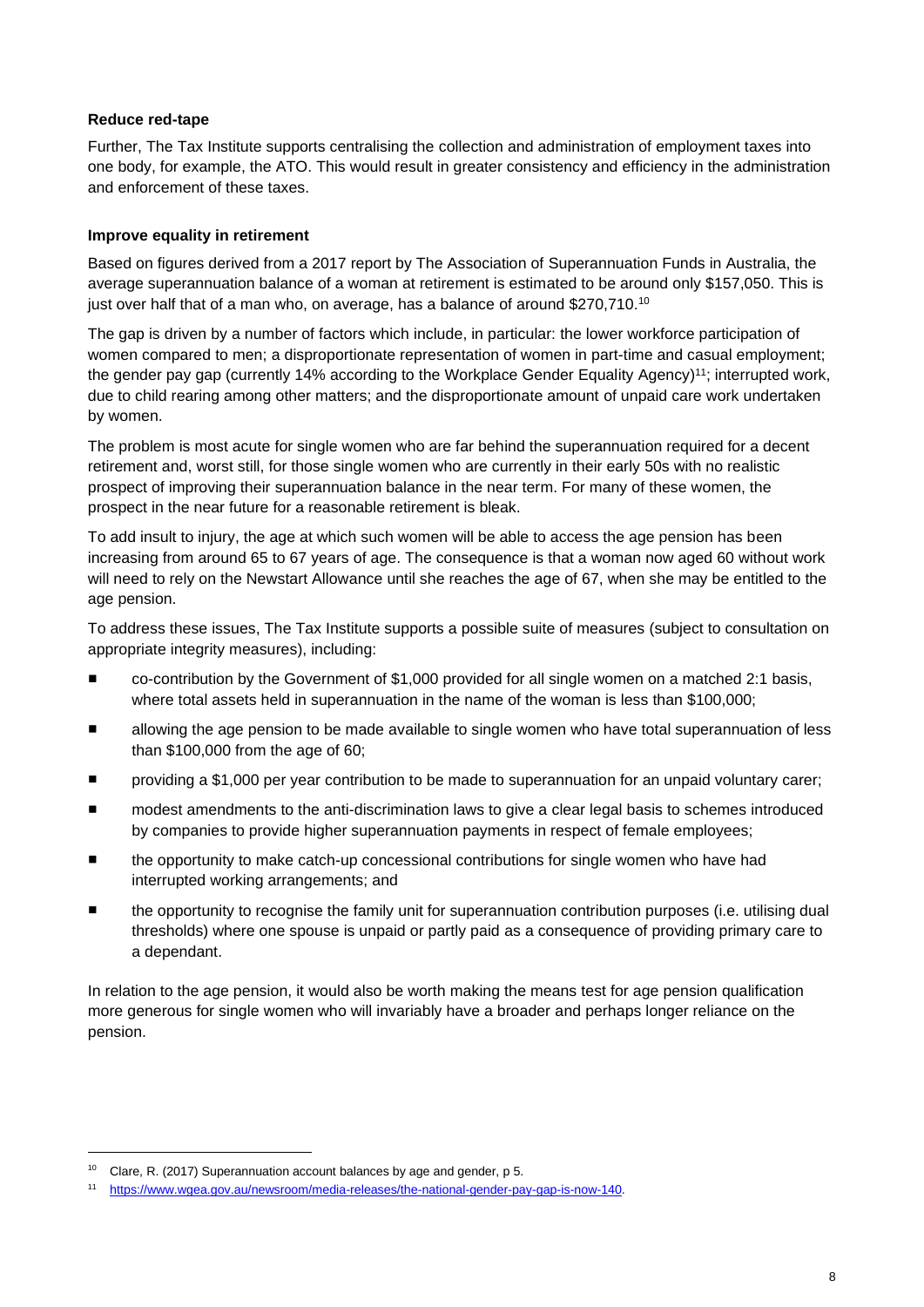#### **Reduce red-tape**

Further, The Tax Institute supports centralising the collection and administration of employment taxes into one body, for example, the ATO. This would result in greater consistency and efficiency in the administration and enforcement of these taxes.

#### **Improve equality in retirement**

Based on figures derived from a 2017 report by The Association of Superannuation Funds in Australia, the average superannuation balance of a woman at retirement is estimated to be around only \$157,050. This is just over half that of a man who, on average, has a balance of around \$270,710.<sup>10</sup>

The gap is driven by a number of factors which include, in particular: the lower workforce participation of women compared to men; a disproportionate representation of women in part-time and casual employment; the gender pay gap (currently 14% according to the Workplace Gender Equality Agency) <sup>11</sup>; interrupted work, due to child rearing among other matters; and the disproportionate amount of unpaid care work undertaken by women.

The problem is most acute for single women who are far behind the superannuation required for a decent retirement and, worst still, for those single women who are currently in their early 50s with no realistic prospect of improving their superannuation balance in the near term. For many of these women, the prospect in the near future for a reasonable retirement is bleak.

To add insult to injury, the age at which such women will be able to access the age pension has been increasing from around 65 to 67 years of age. The consequence is that a woman now aged 60 without work will need to rely on the Newstart Allowance until she reaches the age of 67, when she may be entitled to the age pension.

To address these issues, The Tax Institute supports a possible suite of measures (subject to consultation on appropriate integrity measures), including:

- co-contribution by the Government of \$1,000 provided for all single women on a matched 2:1 basis, where total assets held in superannuation in the name of the woman is less than \$100,000;
- allowing the age pension to be made available to single women who have total superannuation of less than \$100,000 from the age of 60;
- providing a \$1,000 per year contribution to be made to superannuation for an unpaid voluntary carer;
- modest amendments to the anti-discrimination laws to give a clear legal basis to schemes introduced by companies to provide higher superannuation payments in respect of female employees;
- the opportunity to make catch-up concessional contributions for single women who have had interrupted working arrangements; and
- the opportunity to recognise the family unit for superannuation contribution purposes (i.e. utilising dual thresholds) where one spouse is unpaid or partly paid as a consequence of providing primary care to a dependant.

In relation to the age pension, it would also be worth making the means test for age pension qualification more generous for single women who will invariably have a broader and perhaps longer reliance on the pension.

<sup>10</sup> Clare, R. (2017) Superannuation account balances by age and gender, p 5.

<sup>11</sup> [https://www.wgea.gov.au/newsroom/media-releases/the-national-gender-pay-gap-is-now-140.](https://www.wgea.gov.au/newsroom/media-releases/the-national-gender-pay-gap-is-now-140)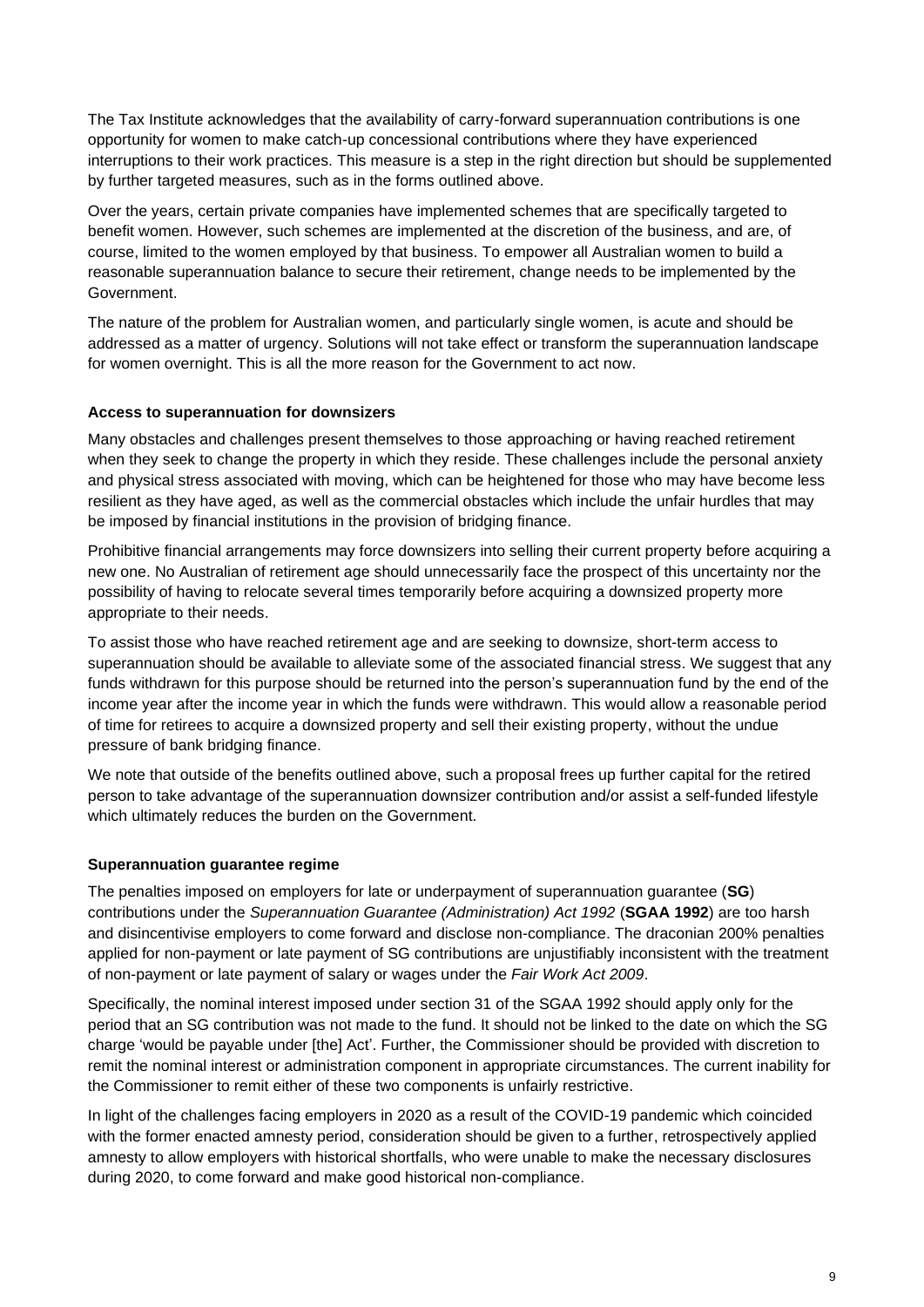The Tax Institute acknowledges that the availability of carry-forward superannuation contributions is one opportunity for women to make catch-up concessional contributions where they have experienced interruptions to their work practices. This measure is a step in the right direction but should be supplemented by further targeted measures, such as in the forms outlined above.

Over the years, certain private companies have implemented schemes that are specifically targeted to benefit women. However, such schemes are implemented at the discretion of the business, and are, of course, limited to the women employed by that business. To empower all Australian women to build a reasonable superannuation balance to secure their retirement, change needs to be implemented by the Government.

The nature of the problem for Australian women, and particularly single women, is acute and should be addressed as a matter of urgency. Solutions will not take effect or transform the superannuation landscape for women overnight. This is all the more reason for the Government to act now.

# **Access to superannuation for downsizers**

Many obstacles and challenges present themselves to those approaching or having reached retirement when they seek to change the property in which they reside. These challenges include the personal anxiety and physical stress associated with moving, which can be heightened for those who may have become less resilient as they have aged, as well as the commercial obstacles which include the unfair hurdles that may be imposed by financial institutions in the provision of bridging finance.

Prohibitive financial arrangements may force downsizers into selling their current property before acquiring a new one. No Australian of retirement age should unnecessarily face the prospect of this uncertainty nor the possibility of having to relocate several times temporarily before acquiring a downsized property more appropriate to their needs.

To assist those who have reached retirement age and are seeking to downsize, short-term access to superannuation should be available to alleviate some of the associated financial stress. We suggest that any funds withdrawn for this purpose should be returned into the person's superannuation fund by the end of the income year after the income year in which the funds were withdrawn. This would allow a reasonable period of time for retirees to acquire a downsized property and sell their existing property, without the undue pressure of bank bridging finance.

We note that outside of the benefits outlined above, such a proposal frees up further capital for the retired person to take advantage of the superannuation downsizer contribution and/or assist a self-funded lifestyle which ultimately reduces the burden on the Government.

# **Superannuation guarantee regime**

The penalties imposed on employers for late or underpayment of superannuation guarantee (**SG**) contributions under the *Superannuation Guarantee (Administration) Act 1992* (**SGAA 1992**) are too harsh and disincentivise employers to come forward and disclose non-compliance. The draconian 200% penalties applied for non-payment or late payment of SG contributions are unjustifiably inconsistent with the treatment of non-payment or late payment of salary or wages under the *Fair Work Act 2009*.

Specifically, the nominal interest imposed under section 31 of the SGAA 1992 should apply only for the period that an SG contribution was not made to the fund. It should not be linked to the date on which the SG charge 'would be payable under [the] Act'. Further, the Commissioner should be provided with discretion to remit the nominal interest or administration component in appropriate circumstances. The current inability for the Commissioner to remit either of these two components is unfairly restrictive.

In light of the challenges facing employers in 2020 as a result of the COVID-19 pandemic which coincided with the former enacted amnesty period, consideration should be given to a further, retrospectively applied amnesty to allow employers with historical shortfalls, who were unable to make the necessary disclosures during 2020, to come forward and make good historical non-compliance.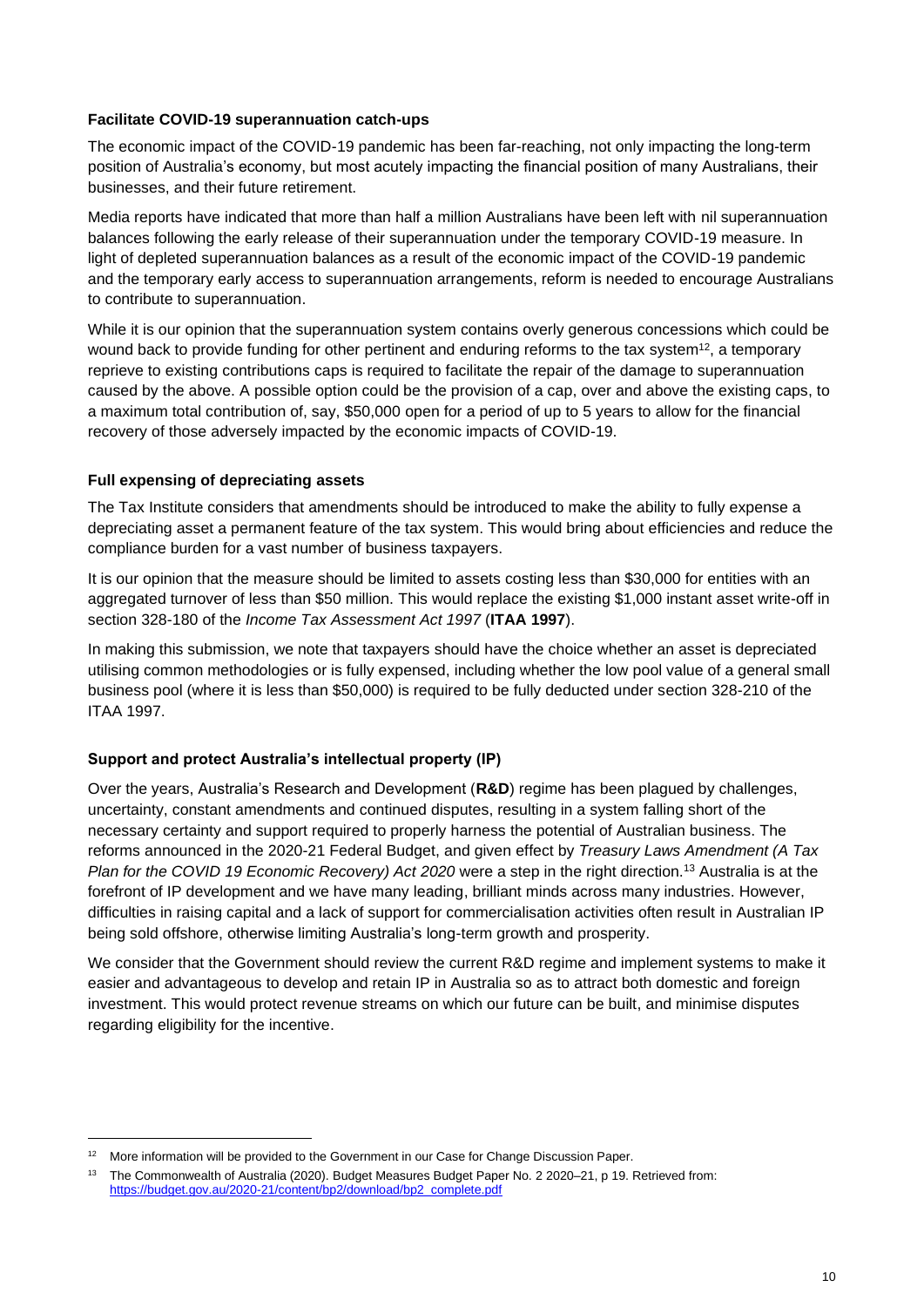#### **Facilitate COVID-19 superannuation catch-ups**

The economic impact of the COVID-19 pandemic has been far-reaching, not only impacting the long-term position of Australia's economy, but most acutely impacting the financial position of many Australians, their businesses, and their future retirement.

Media reports have indicated that more than half a million Australians have been left with nil superannuation balances following the early release of their superannuation under the temporary COVID-19 measure. In light of depleted superannuation balances as a result of the economic impact of the COVID-19 pandemic and the temporary early access to superannuation arrangements, reform is needed to encourage Australians to contribute to superannuation.

While it is our opinion that the superannuation system contains overly generous concessions which could be wound back to provide funding for other pertinent and enduring reforms to the tax system<sup>12</sup>, a temporary reprieve to existing contributions caps is required to facilitate the repair of the damage to superannuation caused by the above. A possible option could be the provision of a cap, over and above the existing caps, to a maximum total contribution of, say, \$50,000 open for a period of up to 5 years to allow for the financial recovery of those adversely impacted by the economic impacts of COVID-19.

# **Full expensing of depreciating assets**

The Tax Institute considers that amendments should be introduced to make the ability to fully expense a depreciating asset a permanent feature of the tax system. This would bring about efficiencies and reduce the compliance burden for a vast number of business taxpayers.

It is our opinion that the measure should be limited to assets costing less than \$30,000 for entities with an aggregated turnover of less than \$50 million. This would replace the existing \$1,000 instant asset write-off in section 328-180 of the *Income Tax Assessment Act 1997* (**ITAA 1997**).

In making this submission, we note that taxpayers should have the choice whether an asset is depreciated utilising common methodologies or is fully expensed, including whether the low pool value of a general small business pool (where it is less than \$50,000) is required to be fully deducted under section 328-210 of the ITAA 1997.

# **Support and protect Australia's intellectual property (IP)**

Over the years, Australia's Research and Development (**R&D**) regime has been plagued by challenges, uncertainty, constant amendments and continued disputes, resulting in a system falling short of the necessary certainty and support required to properly harness the potential of Australian business. The reforms announced in the 2020-21 Federal Budget, and given effect by *Treasury Laws Amendment (A Tax Plan for the COVID 19 Economic Recovery) Act 2020* were a step in the right direction.<sup>13</sup> Australia is at the forefront of IP development and we have many leading, brilliant minds across many industries. However, difficulties in raising capital and a lack of support for commercialisation activities often result in Australian IP being sold offshore, otherwise limiting Australia's long-term growth and prosperity.

We consider that the Government should review the current R&D regime and implement systems to make it easier and advantageous to develop and retain IP in Australia so as to attract both domestic and foreign investment. This would protect revenue streams on which our future can be built, and minimise disputes regarding eligibility for the incentive.

<sup>&</sup>lt;sup>12</sup> More information will be provided to the Government in our Case for Change Discussion Paper.

<sup>&</sup>lt;sup>13</sup> The Commonwealth of Australia (2020). Budget Measures Budget Paper No. 2 2020–21, p 19. Retrieved from: [https://budget.gov.au/2020-21/content/bp2/download/bp2\\_complete.pdf](https://budget.gov.au/2020-21/content/bp2/download/bp2_complete.pdf)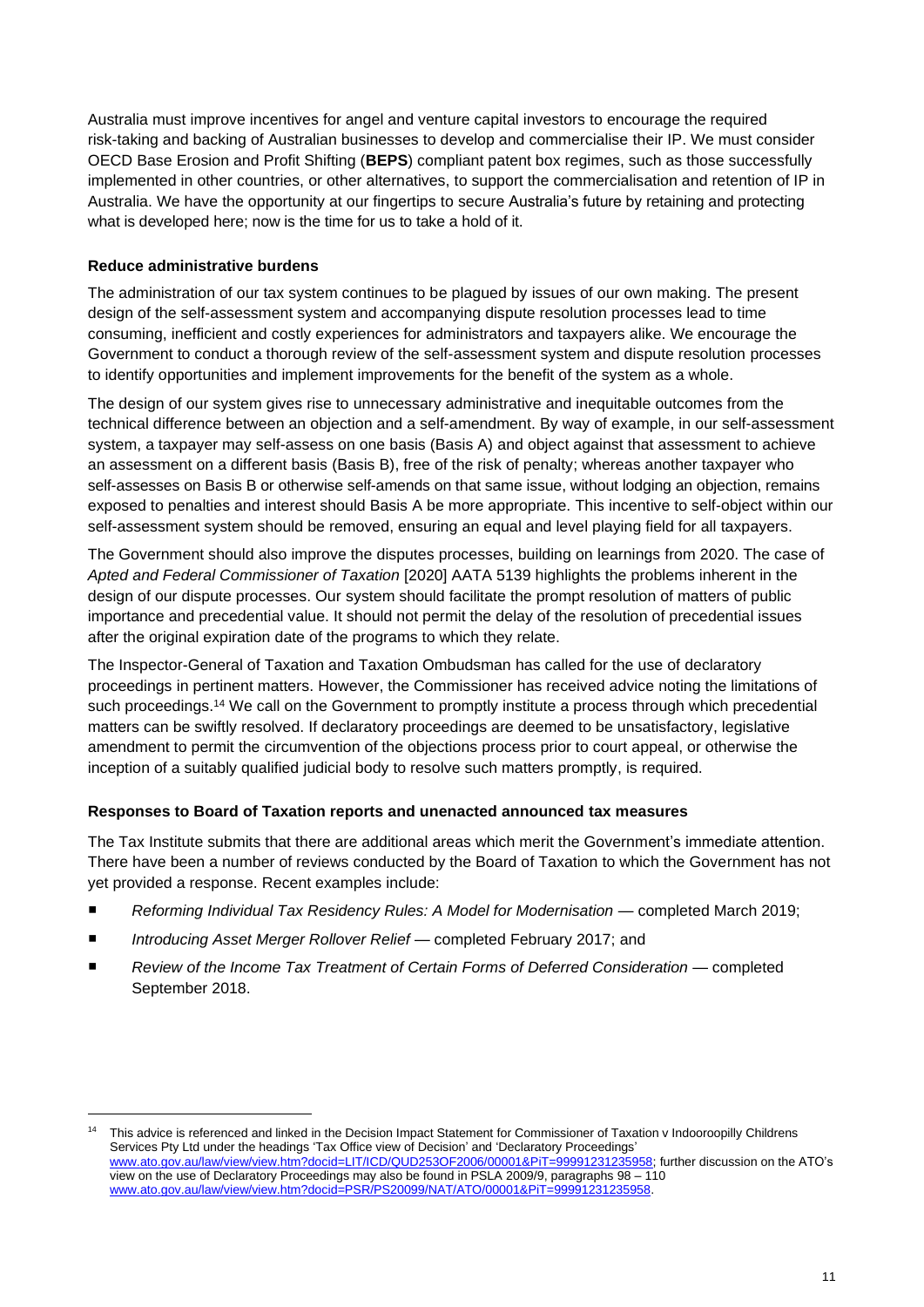Australia must improve incentives for angel and venture capital investors to encourage the required risk-taking and backing of Australian businesses to develop and commercialise their IP. We must consider OECD Base Erosion and Profit Shifting (**BEPS**) compliant patent box regimes, such as those successfully implemented in other countries, or other alternatives, to support the commercialisation and retention of IP in Australia. We have the opportunity at our fingertips to secure Australia's future by retaining and protecting what is developed here; now is the time for us to take a hold of it.

# **Reduce administrative burdens**

The administration of our tax system continues to be plagued by issues of our own making. The present design of the self-assessment system and accompanying dispute resolution processes lead to time consuming, inefficient and costly experiences for administrators and taxpayers alike. We encourage the Government to conduct a thorough review of the self-assessment system and dispute resolution processes to identify opportunities and implement improvements for the benefit of the system as a whole.

The design of our system gives rise to unnecessary administrative and inequitable outcomes from the technical difference between an objection and a self-amendment. By way of example, in our self-assessment system, a taxpayer may self-assess on one basis (Basis A) and object against that assessment to achieve an assessment on a different basis (Basis B), free of the risk of penalty; whereas another taxpayer who self-assesses on Basis B or otherwise self-amends on that same issue, without lodging an objection, remains exposed to penalties and interest should Basis A be more appropriate. This incentive to self-object within our self-assessment system should be removed, ensuring an equal and level playing field for all taxpayers.

The Government should also improve the disputes processes, building on learnings from 2020. The case of *[Apted and Federal Commissioner of Taxation](http://www.austlii.edu.au/cgi-bin/viewdoc/au/cases/cth/AATA/2020/5139.html)* [2020] AATA 5139 highlights the problems inherent in the design of our dispute processes. Our system should facilitate the prompt resolution of matters of public importance and precedential value. It should not permit the delay of the resolution of precedential issues after the original expiration date of the programs to which they relate.

The Inspector-General of Taxation and Taxation Ombudsman has called for the use of declaratory proceedings in pertinent matters. However, the Commissioner has received advice noting the limitations of such proceedings.<sup>14</sup> We call on the Government to promptly institute a process through which precedential matters can be swiftly resolved. If declaratory proceedings are deemed to be unsatisfactory, legislative amendment to permit the circumvention of the objections process prior to court appeal, or otherwise the inception of a suitably qualified judicial body to resolve such matters promptly, is required.

#### **Responses to Board of Taxation reports and unenacted announced tax measures**

The Tax Institute submits that there are additional areas which merit the Government's immediate attention. There have been a number of reviews conducted by the Board of Taxation to which the Government has not yet provided a response. Recent examples include:

- *Reforming Individual Tax Residency Rules: A Model for Modernisation* completed March 2019;
- *Introducing Asset Merger Rollover Relief* completed February 2017; and
- *Review of the Income Tax Treatment of Certain Forms of Deferred Consideration* completed September 2018.

<sup>&</sup>lt;sup>14</sup> This advice is referenced and linked in the Decision Impact Statement for Commissioner of Taxation v Indooroopilly Childrens Services Pty Ltd under the headings 'Tax Office view of Decision' and 'Declaratory Proceedings' [www.ato.gov.au/law/view/view.htm?docid=LIT/ICD/QUD253OF2006/00001&PiT=99991231235958;](https://www.ato.gov.au/law/view/view.htm?docid=LIT/ICD/QUD253OF2006/00001&PiT=99991231235958) further discussion on the ATO's view on the use of Declaratory Proceedings may also be found in PSLA 2009/9, paragraphs 98 – 110 [www.ato.gov.au/law/view/view.htm?docid=PSR/PS20099/NAT/ATO/00001&PiT=99991231235958.](https://www.ato.gov.au/law/view/view.htm?docid=PSR/PS20099/NAT/ATO/00001&PiT=99991231235958)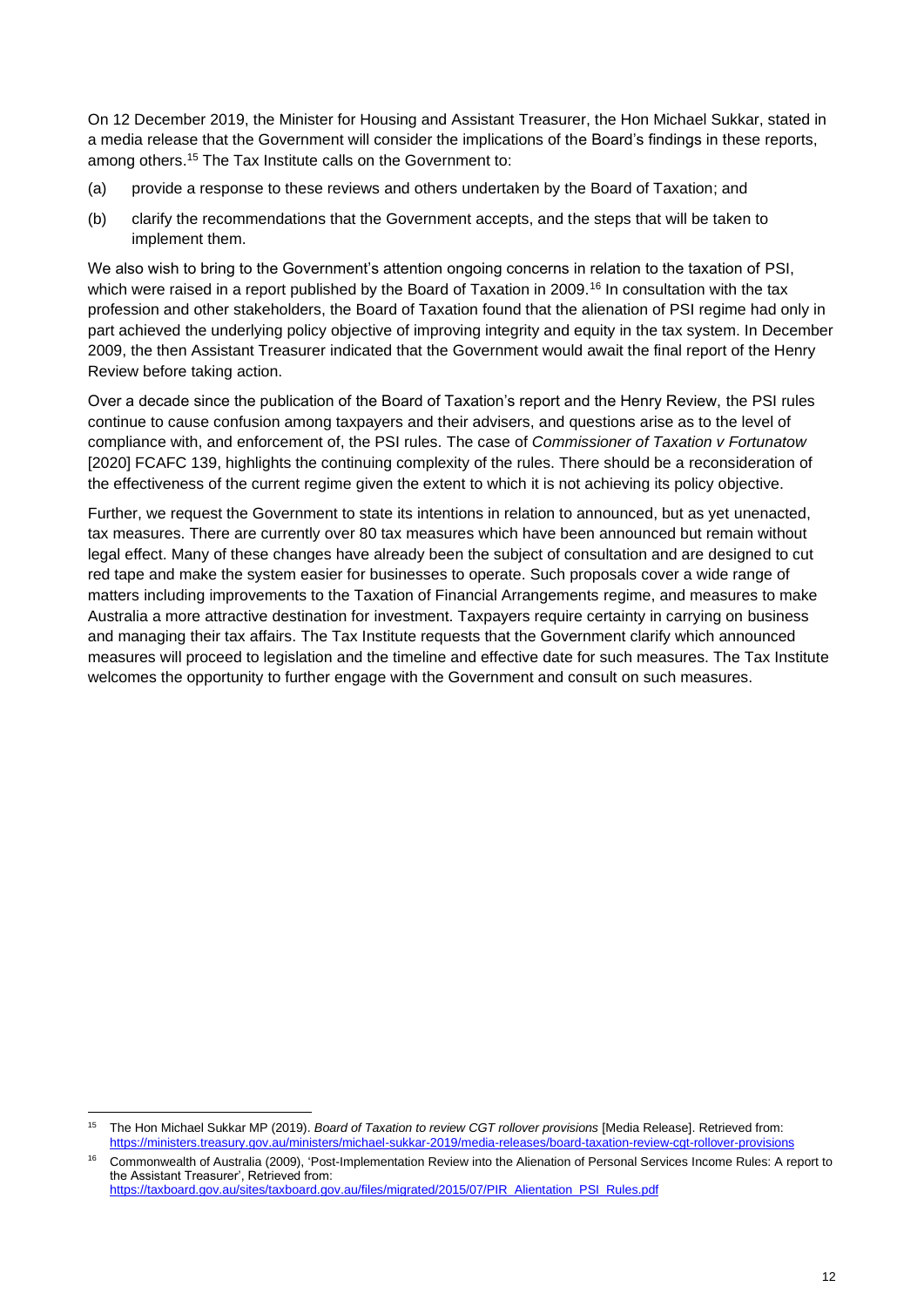On 12 December 2019, the Minister for Housing and Assistant Treasurer, the Hon Michael Sukkar, stated in a media release that the Government will consider the implications of the Board's findings in these reports, among others. <sup>15</sup> The Tax Institute calls on the Government to:

- (a) provide a response to these reviews and others undertaken by the Board of Taxation; and
- (b) clarify the recommendations that the Government accepts, and the steps that will be taken to implement them.

We also wish to bring to the Government's attention ongoing concerns in relation to the taxation of PSI, which were raised in a report published by the Board of Taxation in 2009.<sup>16</sup> In consultation with the tax profession and other stakeholders, the Board of Taxation found that the alienation of PSI regime had only in part achieved the underlying policy objective of improving integrity and equity in the tax system. In December 2009, the then Assistant Treasurer indicated that the Government would await the final report of the Henry Review before taking action.

Over a decade since the publication of the Board of Taxation's report and the Henry Review, the PSI rules continue to cause confusion among taxpayers and their advisers, and questions arise as to the level of compliance with, and enforcement of, the PSI rules. The case of *Commissioner of Taxation v Fortunatow* [2020] FCAFC 139, highlights the continuing complexity of the rules. There should be a reconsideration of the effectiveness of the current regime given the extent to which it is not achieving its policy objective.

Further, we request the Government to state its intentions in relation to announced, but as yet unenacted, tax measures. There are currently over 80 tax measures which have been announced but remain without legal effect. Many of these changes have already been the subject of consultation and are designed to cut red tape and make the system easier for businesses to operate. Such proposals cover a wide range of matters including improvements to the Taxation of Financial Arrangements regime, and measures to make Australia a more attractive destination for investment. Taxpayers require certainty in carrying on business and managing their tax affairs. The Tax Institute requests that the Government clarify which announced measures will proceed to legislation and the timeline and effective date for such measures. The Tax Institute welcomes the opportunity to further engage with the Government and consult on such measures.

<sup>15</sup> The Hon Michael Sukkar MP (2019). *Board of Taxation to review CGT rollover provisions* [Media Release]. Retrieved from: <https://ministers.treasury.gov.au/ministers/michael-sukkar-2019/media-releases/board-taxation-review-cgt-rollover-provisions>

<sup>16</sup> Commonwealth of Australia (2009), 'Post-Implementation Review into the Alienation of Personal Services Income Rules: A report to the Assistant Treasurer', Retrieved from:

[https://taxboard.gov.au/sites/taxboard.gov.au/files/migrated/2015/07/PIR\\_Alientation\\_PSI\\_Rules.pdf](https://taxboard.gov.au/sites/taxboard.gov.au/files/migrated/2015/07/PIR_Alientation_PSI_Rules.pdf)